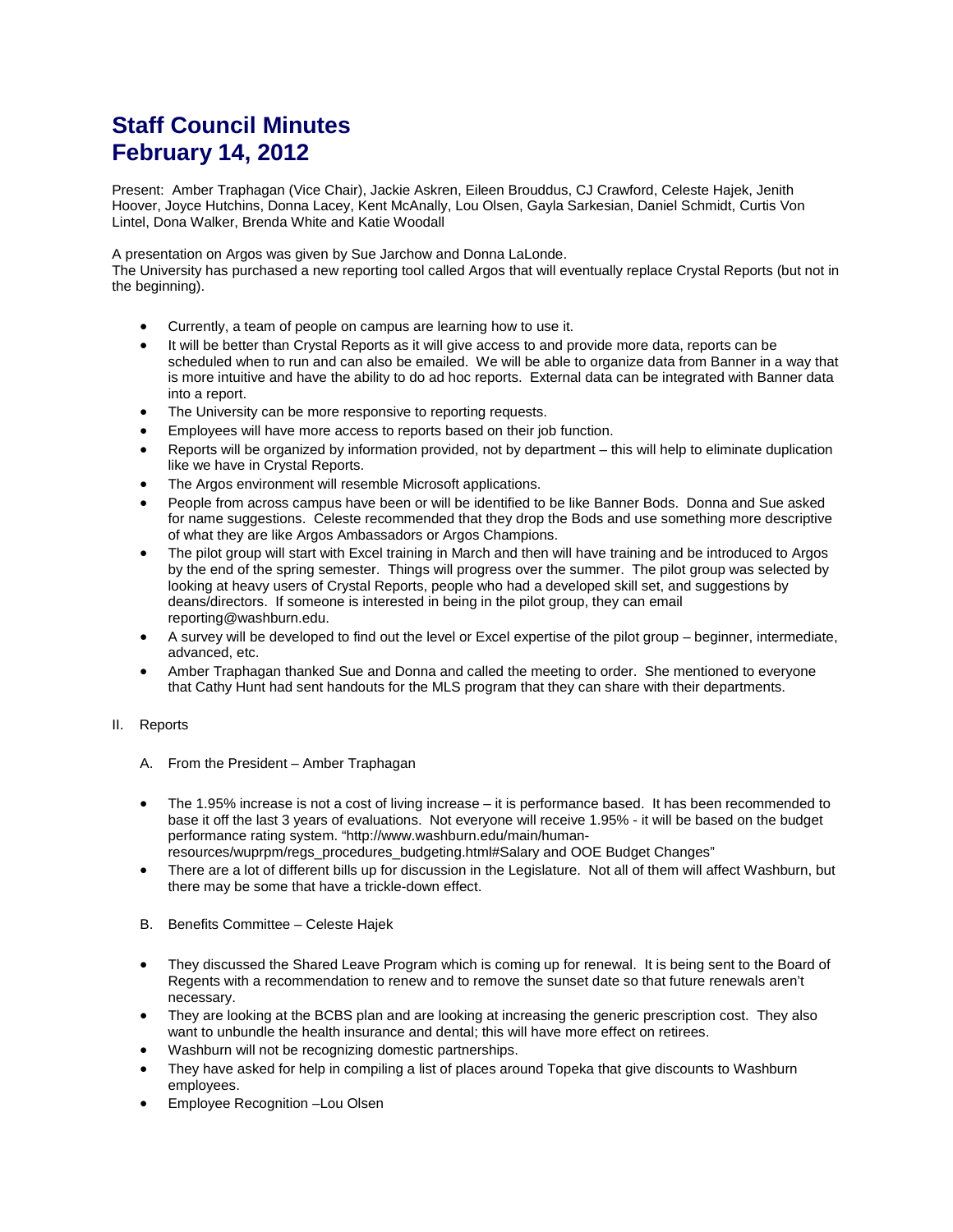## **Staff Council Minutes February 14, 2012**

Present: Amber Traphagan (Vice Chair), Jackie Askren, Eileen Brouddus, CJ Crawford, Celeste Hajek, Jenith Hoover, Joyce Hutchins, Donna Lacey, Kent McAnally, Lou Olsen, Gayla Sarkesian, Daniel Schmidt, Curtis Von Lintel, Dona Walker, Brenda White and Katie Woodall

A presentation on Argos was given by Sue Jarchow and Donna LaLonde.

The University has purchased a new reporting tool called Argos that will eventually replace Crystal Reports (but not in the beginning).

- Currently, a team of people on campus are learning how to use it.
- It will be better than Crystal Reports as it will give access to and provide more data, reports can be scheduled when to run and can also be emailed. We will be able to organize data from Banner in a way that is more intuitive and have the ability to do ad hoc reports. External data can be integrated with Banner data into a report.
- The University can be more responsive to reporting requests.
- Employees will have more access to reports based on their job function.
- Reports will be organized by information provided, not by department this will help to eliminate duplication like we have in Crystal Reports.
- The Argos environment will resemble Microsoft applications.
- People from across campus have been or will be identified to be like Banner Bods. Donna and Sue asked for name suggestions. Celeste recommended that they drop the Bods and use something more descriptive of what they are like Argos Ambassadors or Argos Champions.
- The pilot group will start with Excel training in March and then will have training and be introduced to Argos by the end of the spring semester. Things will progress over the summer. The pilot group was selected by looking at heavy users of Crystal Reports, people who had a developed skill set, and suggestions by deans/directors. If someone is interested in being in the pilot group, they can email reporting@washburn.edu.
- A survey will be developed to find out the level or Excel expertise of the pilot group beginner, intermediate, advanced, etc.
- Amber Traphagan thanked Sue and Donna and called the meeting to order. She mentioned to everyone that Cathy Hunt had sent handouts for the MLS program that they can share with their departments.

## II. Reports

- A. From the President Amber Traphagan
- The 1.95% increase is not a cost of living increase it is performance based. It has been recommended to base it off the last 3 years of evaluations. Not everyone will receive 1.95% - it will be based on the budget performance rating system. "http://www.washburn.edu/main/humanresources/wuprpm/regs\_procedures\_budgeting.html#Salary and OOE Budget Changes"
- There are a lot of different bills up for discussion in the Legislature. Not all of them will affect Washburn, but there may be some that have a trickle-down effect.
- B. Benefits Committee Celeste Hajek
- They discussed the Shared Leave Program which is coming up for renewal. It is being sent to the Board of Regents with a recommendation to renew and to remove the sunset date so that future renewals aren't necessary.
- They are looking at the BCBS plan and are looking at increasing the generic prescription cost. They also want to unbundle the health insurance and dental; this will have more effect on retirees.
- Washburn will not be recognizing domestic partnerships.
- They have asked for help in compiling a list of places around Topeka that give discounts to Washburn employees.
- Employee Recognition –Lou Olsen